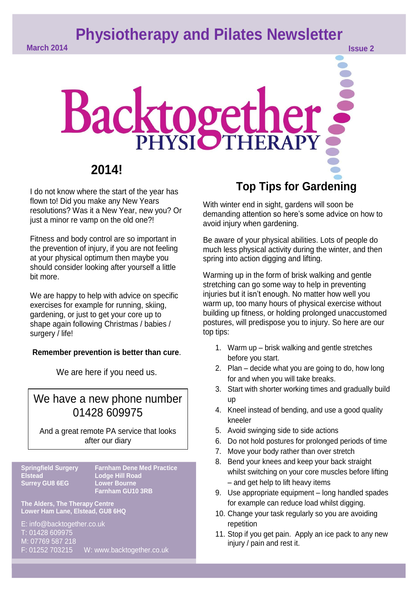**Physiotherapy and Pilates Newsletter** 

# Backtogether,

## **2014!**

I do not know where the start of the year has flown to! Did you make any New Years resolutions? Was it a New Year, new you? Or just a minor re vamp on the old one?!

Fitness and body control are so important in the prevention of injury, if you are not feeling at your physical optimum then maybe you should consider looking after yourself a little bit more.

We are happy to help with advice on specific exercises for example for running, skiing, gardening, or just to get your core up to shape again following Christmas / babies / surgery / life!

## **Remember prevention is better than cure**.

We are here if you need us.

## We have a new phone number 01428 609975

And a great remote PA service that looks **Comparished** after our diary

## **Springfield Surgery**<br>**Elstead Surrey GU8 6EG**

**Springfield Surgery Farnham Dene Med Practice Farnham Guine<br>Farnham GU10 3RB** 

www.text.com in the control of the control of the control of the control of the control of the control of the

**The Alders, The Therapy Centre Lower Ham Lane, Elstead, GU8 6HQ**

E: info@backtogether.co.uk T: 01428 609975 M: 07769 587 218 F: 01252 703215 W: www.backtogether.co.uk

# **Top Tips for Gardening**

With winter end in sight, gardens will soon be demanding attention so here's some advice on how to avoid injury when gardening.

Be aware of your physical abilities. Lots of people do much less physical activity during the winter, and then spring into action digging and lifting.

Warming up in the form of brisk walking and gentle stretching can go some way to help in preventing injuries but it isn't enough. No matter how well you warm up, too many hours of physical exercise without building up fitness, or holding prolonged unaccustomed postures, will predispose you to injury. So here are our top tips:

- 1. Warm up brisk walking and gentle stretches before you start.
- 2. Plan decide what you are going to do, how long for and when you will take breaks.
- 3. Start with shorter working times and gradually build up
- 4. Kneel instead of bending, and use a good quality kneeler
- 5. Avoid swinging side to side actions
- 6. Do not hold postures for prolonged periods of time
- 7. Move your body rather than over stretch
- 8. Bend your knees and keep your back straight whilst switching on your core muscles before lifting – and get help to lift heavy items
- 9. Use appropriate equipment long handled spades for example can reduce load whilst digging.
- 10. Change your task regularly so you are avoiding repetition
- 11. Stop if you get pain. Apply an ice pack to any new injury / pain and rest it.